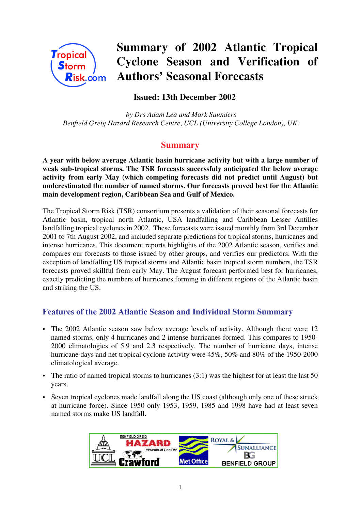

# **Summary of 2002 Atlantic Tropical Cyclone Season and Verification of Authors' Seasonal Forecasts**

# **Issued: 13th December 2002**

 *by Drs Adam Lea and Mark Saunders Benfield Greig Hazard Research Centre, UCL (University College London), UK.*

## **Summary**

**A year with below average Atlantic basin hurricane activity but with a large number of weak sub-tropical storms. The TSR forecasts successfuly anticipated the below average activity from early May (which competing forecasts did not predict until August) but underestimated the number of named storms. Our forecasts proved best for the Atlantic main development region, Caribbean Sea and Gulf of Mexico.**

The Tropical Storm Risk (TSR) consortium presents a validation of their seasonal forecasts for Atlantic basin, tropical north Atlantic, USA landfalling and Caribbean Lesser Antilles landfalling tropical cyclones in 2002. These forecasts were issued monthly from 3rd December 2001 to 7th August 2002, and included separate predictions for tropical storms, hurricanes and intense hurricanes. This document reports highlights of the 2002 Atlantic season, verifies and compares our forecasts to those issued by other groups, and verifies our predictors. With the exception of landfalling US tropical storms and Atlantic basin tropical storm numbers, the TSR forecasts proved skillful from early May. The August forecast performed best for hurricanes, exactly predicting the numbers of hurricanes forming in different regions of the Atlantic basin and striking the US.

## **Features of the 2002 Atlantic Season and Individual Storm Summary**

- The 2002 Atlantic season saw below average levels of activity. Although there were 12 named storms, only 4 hurricanes and 2 intense hurricanes formed. This compares to 1950- 2000 climatologies of 5.9 and 2.3 respectively. The number of hurricane days, intense hurricane days and net tropical cyclone activity were  $45\%$ , 50% and 80% of the 1950-2000 climatological average.
- The ratio of named tropical storms to hurricanes  $(3:1)$  was the highest for at least the last 50 years.
- Seven tropical cyclones made landfall along the US coast (although only one of these struck at hurricane force). Since 1950 only 1953, 1959, 1985 and 1998 have had at least seven named storms make US landfall.

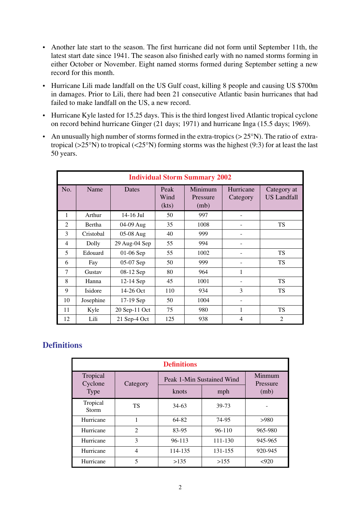- Another late start to the season. The first hurricane did not form until September 11th, the latest start date since 1941. The season also finished early with no named storms forming in either October or November. Eight named storms formed during September setting a new record for this month.
- Hurricane Lili made landfall on the US Gulf coast, killing 8 people and causing US \$700m in damages. Prior to Lili, there had been 21 consecutive Atlantic basin hurricanes that had failed to make landfall on the US, a new record.
- Hurricane Kyle lasted for 15.25 days. This is the third longest lived Atlantic tropical cyclone on record behind hurricane Ginger (21 days; 1971) and hurricane Inga (15.5 days; 1969).
- An unusually high number of storms formed in the extra-tropics  $(> 25°N)$ . The ratio of extratropical ( $>25^{\circ}$ N) to tropical ( $<25^{\circ}$ N) forming storms was the highest (9:3) for at least the last 50 years.

| <b>Individual Storm Summary 2002</b> |           |               |                       |                             |                       |                                   |
|--------------------------------------|-----------|---------------|-----------------------|-----------------------------|-----------------------|-----------------------------------|
| No.                                  | Name      | Dates         | Peak<br>Wind<br>(kts) | Minimum<br>Pressure<br>(mb) | Hurricane<br>Category | Category at<br><b>US Landfall</b> |
| 1                                    | Arthur    | 14-16 Jul     | 50                    | 997                         |                       |                                   |
| $\mathfrak{D}$                       | Bertha    | 04-09 Aug     | 35                    | 1008                        |                       | <b>TS</b>                         |
| 3                                    | Cristobal | 05-08 Aug     | 40                    | 999                         |                       |                                   |
| 4                                    | Dolly     | 29 Aug-04 Sep | 55                    | 994                         |                       |                                   |
| 5                                    | Edouard   | 01-06 Sep     | 55                    | 1002                        |                       | <b>TS</b>                         |
| 6                                    | Fay       | 05-07 Sep     | 50                    | 999                         |                       | <b>TS</b>                         |
| 7                                    | Gustav    | 08-12 Sep     | 80                    | 964                         | 1                     |                                   |
| 8                                    | Hanna     | 12-14 Sep     | 45                    | 1001                        |                       | <b>TS</b>                         |
| 9                                    | Isidore   | 14-26 Oct     | 110                   | 934                         | 3                     | <b>TS</b>                         |
| 10                                   | Josephine | 17-19 Sep     | 50                    | 1004                        |                       |                                   |
| 11                                   | Kyle      | 20 Sep-11 Oct | 75                    | 980                         | $\mathbf{1}$          | <b>TS</b>                         |
| 12                                   | Lili      | 21 Sep-4 Oct  | 125                   | 938                         | 4                     | $\overline{2}$                    |

## **Definitions**

| <b>Definitions</b>  |                |                           |            |                    |  |  |
|---------------------|----------------|---------------------------|------------|--------------------|--|--|
| Tropical<br>Cyclone | Category       | Peak 1-Min Sustained Wind |            | Minmum<br>Pressure |  |  |
| <b>Type</b>         |                | knots                     | mph        | (mb)               |  |  |
| Tropical<br>Storm   | TS             | $34-63$                   | 39-73      |                    |  |  |
| Hurricane           | 1              | 64-82                     | 74-95      | >980               |  |  |
| Hurricane           | $\overline{2}$ | 83-95                     | $96 - 110$ | 965-980            |  |  |
| Hurricane           | 3              | $96 - 113$                | 111-130    | 945-965            |  |  |
| Hurricane           | $\overline{4}$ | 114-135                   | 131-155    | 920-945            |  |  |
| Hurricane           | 5              | >135                      | >155       | < 920              |  |  |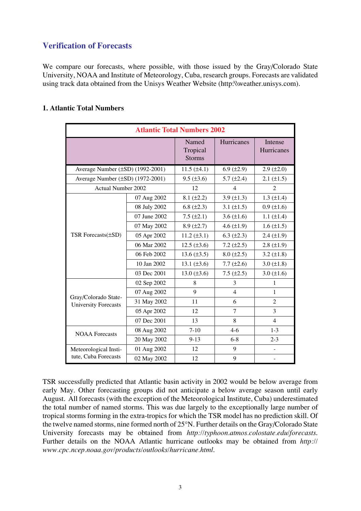## **Verification of Forecasts**

We compare our forecasts, where possible, with those issued by the Gray/Colorado State University, NOAA and Institute of Meteorology, Cuba, research groups. Forecasts are validated using track data obtained from the Unisys Weather Website (http:\\weather.unisys.com).

| <b>1. Atlantic Total Numbers</b> |  |  |
|----------------------------------|--|--|
|----------------------------------|--|--|

| <b>Atlantic Total Numbers 2002</b>                  |                                    |                  |                       |                          |  |
|-----------------------------------------------------|------------------------------------|------------------|-----------------------|--------------------------|--|
|                                                     | Named<br>Tropical<br><b>Storms</b> | Hurricanes       | Intense<br>Hurricanes |                          |  |
| Average Number (±SD) (1992-2001)                    |                                    | $11.5 (\pm 4.1)$ | $6.9 \ (\pm 2.9)$     | $2.9 \ (\pm 2.0)$        |  |
| Average Number (±SD) (1972-2001)                    |                                    | $9.5 (\pm 3.6)$  | $5.7 (\pm 2.4)$       | $2.1 (\pm 1.5)$          |  |
| <b>Actual Number 2002</b>                           |                                    | 12               | $\overline{4}$        | $\overline{2}$           |  |
|                                                     | 07 Aug 2002                        | $8.1 (\pm 2.2)$  | 3.9 $(\pm 1.3)$       | $1.3 \ (\pm 1.4)$        |  |
|                                                     | 08 July 2002                       | 6.8 $(\pm 2.3)$  | 3.1 $(\pm 1.5)$       | $0.9 (\pm 1.6)$          |  |
|                                                     | 07 June 2002                       | $7.5 (\pm 2.1)$  | 3.6 $(\pm 1.6)$       | $1.1 (\pm 1.4)$          |  |
|                                                     | 07 May 2002                        | $8.9 (\pm 2.7)$  | 4.6 $(\pm 1.9)$       | $1.6 \ (\pm 1.5)$        |  |
| TSR Forecasts(±SD)                                  | 05 Apr 2002                        | $11.2 (\pm 3.1)$ | 6.3 $(\pm 2.3)$       | $2.4 (\pm 1.9)$          |  |
|                                                     | 06 Mar 2002                        | $12.5 (\pm 3.6)$ | $7.2 (\pm 2.5)$       | $2.8 (\pm 1.9)$          |  |
|                                                     | 06 Feb 2002                        | $13.6 (\pm 3.5)$ | $8.0 (\pm 2.5)$       | 3.2 $(\pm 1.8)$          |  |
|                                                     | 10 Jan 2002                        | 13.1 $(\pm 3.6)$ | $7.7 (\pm 2.6)$       | $3.0 (\pm 1.8)$          |  |
|                                                     | 03 Dec 2001                        | $13.0 (\pm 3.6)$ | $7.5 (\pm 2.5)$       | $3.0 (\pm 1.6)$          |  |
|                                                     | 02 Sep 2002                        | 8                | 3                     | $\mathbf{1}$             |  |
|                                                     | 07 Aug 2002                        | 9                | $\overline{4}$        | $\mathbf{1}$             |  |
| Gray/Colorado State-<br><b>University Forecasts</b> | 31 May 2002                        | 11               | 6                     | $\overline{2}$           |  |
|                                                     | 05 Apr 2002                        | 12               | 7                     | 3                        |  |
|                                                     | 07 Dec 2001                        | 13               | 8                     | $\overline{4}$           |  |
| <b>NOAA</b> Forecasts                               | 08 Aug 2002                        | $7 - 10$         | $4 - 6$               | $1 - 3$                  |  |
|                                                     | 20 May 2002                        | $9-13$           | $6 - 8$               | $2 - 3$                  |  |
| Meteorological Insti-                               | 01 Aug 2002                        | 12               | 9                     |                          |  |
| tute, Cuba Forecasts                                | 02 May 2002                        | 12               | 9                     | $\overline{\phantom{m}}$ |  |

TSR successfully predicted that Atlantic basin activity in 2002 would be below average from early May. Other forecasting groups did not anticipate a below average season until early August. All forecasts (with the exception of the Meteorological Institute, Cuba) underestimated the total number of named storms. This was due largely to the exceptionally large number of tropical storms forming in the extra-tropics for which the TSR model has no prediction skill. Of the twelve named storms, nine formed north of 25°N. Further details on the Gray/Colorado State University forecasts may be obtained from *http://typhoon.atmos.colostate.edu/forecasts*. Further details on the NOAA Atlantic hurricane outlooks may be obtained from *http:// www.cpc.ncep.noaa.gov/products/outlooks/hurricane.html*.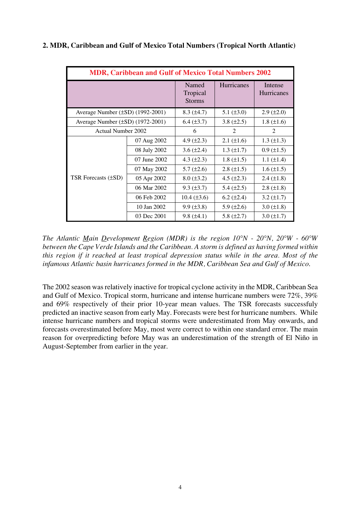| <b>MDR, Caribbean and Gulf of Mexico Total Numbers 2002</b> |              |                                    |                   |                       |  |  |
|-------------------------------------------------------------|--------------|------------------------------------|-------------------|-----------------------|--|--|
|                                                             |              | Named<br>Tropical<br><b>Storms</b> |                   | Intense<br>Hurricanes |  |  |
| Average Number $(\pm SD)$ (1992-2001)                       |              | $8.3 \ (\pm 4.7)$                  | 5.1 $(\pm 3.0)$   | $2.9 \ (\pm 2.0)$     |  |  |
| Average Number $(\pm SD)$ (1972-2001)                       |              | $6.4 \ (\pm 3.7)$                  | 3.8 $(\pm 2.5)$   | 1.8 $(\pm 1.6)$       |  |  |
| Actual Number 2002                                          |              | 6                                  | 2                 | $\overline{2}$        |  |  |
|                                                             | 07 Aug 2002  | 4.9 $(\pm 2.3)$                    | $2.1 (\pm 1.6)$   | $1.3 \ (\pm 1.3)$     |  |  |
|                                                             | 08 July 2002 | 3.6 $(\pm 2.4)$                    | $1.3 \ (\pm 1.7)$ | $0.9 \ (\pm 1.5)$     |  |  |
|                                                             | 07 June 2002 | 4.3 $(\pm 2.3)$                    | $1.8 \ (\pm 1.5)$ | 1.1 $(\pm 1.4)$       |  |  |
|                                                             | 07 May 2002  | $5.7 (\pm 2.6)$                    | $2.8 (\pm 1.5)$   | $1.6 \, (\pm 1.5)$    |  |  |
| TSR Forecasts $(\pm SD)$                                    | 05 Apr 2002  | $8.0 \ (\pm 3.2)$                  | 4.5 $(\pm 2.3)$   | $2.4 \ (\pm 1.8)$     |  |  |
|                                                             | 06 Mar 2002  | $9.3 \ (\pm 3.7)$                  | 5.4 $(\pm 2.5)$   | $2.8 (\pm 1.8)$       |  |  |
|                                                             | 06 Feb 2002  | $10.4 \ (\pm 3.6)$                 | $6.2 \ (\pm 2.4)$ | $3.2 \ (\pm 1.7)$     |  |  |
|                                                             | 10 Jan 2002  | $9.9 \, (\pm 3.8)$                 | $5.9 \ (\pm 2.6)$ | $3.0 (\pm 1.8)$       |  |  |
|                                                             | 03 Dec 2001  | $9.8 (\pm 4.1)$                    | 5.8 $(\pm 2.7)$   | $3.0 (\pm 1.7)$       |  |  |

#### **2. MDR, Caribbean and Gulf of Mexico Total Numbers (Tropical North Atlantic)**

*The Atlantic Main Development Region (MDR) is the region 10°N - 20°N, 20°W - 60°W between the Cape Verde Islands and the Caribbean. A storm is defined as having formed within this region if it reached at least tropical depression status while in the area. Most of the infamous Atlantic basin hurricanes formed in the MDR, Caribbean Sea and Gulf of Mexico*.

The 2002 season was relatively inactive for tropical cyclone activity in the MDR, Caribbean Sea and Gulf of Mexico. Tropical storm, hurricane and intense hurricane numbers were 72%, 39% and 69% respectively of their prior 10-year mean values. The TSR forecasts successfuly predicted an inactive season from early May. Forecasts were best for hurricane numbers. While intense hurricane numbers and tropical storms were underestimated from May onwards, and forecasts overestimated before May, most were correct to within one standard error. The main reason for overpredicting before May was an underestimation of the strength of El Niño in August-September from earlier in the year.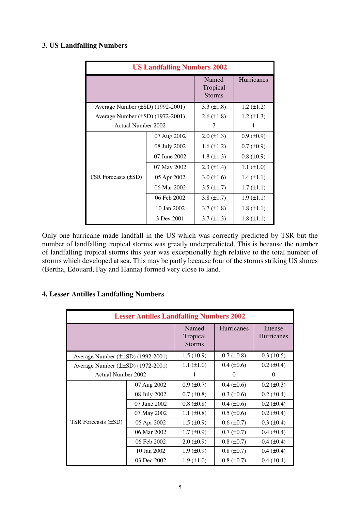#### **3. US Landfalling Numbers**

| <b>US Landfalling Numbers 2002</b> |              |                                    |                   |  |  |
|------------------------------------|--------------|------------------------------------|-------------------|--|--|
|                                    |              | Named<br>Tropical<br><b>Storms</b> | Hurricanes        |  |  |
| Average Number (±SD) (1992-2001)   |              | 3.3 $(\pm 1.8)$                    | $1.2 (\pm 1.2)$   |  |  |
| Average Number (±SD) (1972-2001)   |              | $2.6 (\pm 1.8)$                    | $1.2 \ (\pm 1.3)$ |  |  |
| <b>Actual Number 2002</b>          |              | 7                                  | 1                 |  |  |
|                                    | 07 Aug 2002  | $2.0 (\pm 1.3)$                    | $0.9 \ (\pm 0.9)$ |  |  |
|                                    | 08 July 2002 | $1.6 (\pm 1.2)$                    | $0.7 \ (\pm 0.9)$ |  |  |
|                                    | 07 June 2002 | 1.8 $(\pm 1.3)$                    | $0.8 (\pm 0.9)$   |  |  |
|                                    | 07 May 2002  | $2.3 \ (\pm 1.4)$                  | $1.1 (\pm 1.0)$   |  |  |
| <b>TSR Forecasts (±SD)</b>         | 05 Apr 2002  | $3.0 (\pm 1.6)$                    | $1.4 (\pm 1.1)$   |  |  |
|                                    | 06 Mar 2002  | $3.5 \ (\pm 1.7)$                  | $1.7 (\pm 1.1)$   |  |  |
|                                    | 06 Feb 2002  | 3.8 $(\pm 1.7)$                    | $1.9 \ (\pm 1.1)$ |  |  |
|                                    | 10 Jan 2002  | $3.7 (\pm 1.8)$                    | $1.8 (\pm 1.1)$   |  |  |
|                                    | 3 Dev 2001   | $3.7 \ (\pm 1.3)$                  | $1.8 \ (\pm 1.1)$ |  |  |

Only one hurricane made landfall in the US which was correctly predicted by TSR but the number of landfalling tropical storms was greatly underpredicted. This is because the number of landfalling tropical storms this year was exceptionally high relative to the total number of storms which developed at sea. This may be partly because four of the storms striking US shores (Bertha, Edouard, Fay and Hanna) formed very close to land.

| <b>Lesser Antilles Landfalling Numbers 2002</b> |              |                                    |                    |                              |  |  |
|-------------------------------------------------|--------------|------------------------------------|--------------------|------------------------------|--|--|
|                                                 |              | Named<br>Tropical<br><b>Storms</b> | <b>Hurricanes</b>  | Intense<br><b>Hurricanes</b> |  |  |
| Average Number $(\pm \pm SD)$ (1992-2001)       |              | $1.5 \ (\pm 0.9)$                  | $0.7 (\pm 0.8)$    | $0.3 \ (\pm 0.5)$            |  |  |
| Average Number $(\pm \pm SD)$ (1972-2001)       |              | $1.1 (\pm 1.0)$                    | $0.4 \ (\pm 0.6)$  | $0.2 \ (\pm 0.4)$            |  |  |
| Actual Number 2002                              |              | 1                                  | $\Omega$           | 0                            |  |  |
|                                                 | 07 Aug 2002  | $0.9 (\pm 0.7)$                    | $0.4 (\pm 0.6)$    | $0.2 \ (\pm 0.3)$            |  |  |
|                                                 | 08 July 2002 | $0.7 (\pm 0.8)$                    | $0.3 \ (\pm 0.6)$  | $0.2 \ (\pm 0.4)$            |  |  |
|                                                 | 07 June 2002 | $0.8 \ (\pm 0.8)$                  | $0.4 \ (\pm 0.6)$  | $0.2 \ (\pm 0.4)$            |  |  |
|                                                 | 07 May 2002  | 1.1 $(\pm 0.8)$                    | $0.5 (\pm 0.6)$    | $0.2 (\pm 0.4)$              |  |  |
| TSR Forecasts $(\pm SD)$                        | 05 Apr 2002  | $1.5 \ (\pm 0.9)$                  | $0.6 \, (\pm 0.7)$ | $0.3 (\pm 0.4)$              |  |  |
|                                                 | 06 Mar 2002  | $1.7 \ (\pm 0.9)$                  | $0.7 (\pm 0.7)$    | $0.4 (\pm 0.4)$              |  |  |
|                                                 | 06 Feb 2002  | $2.0 \ (\pm 0.9)$                  | $0.8 (\pm 0.7)$    | $0.4 (\pm 0.4)$              |  |  |
|                                                 | 10 Jan 2002  | $1.9 \ (\pm 0.9)$                  | $0.8 (\pm 0.7)$    | $0.4 (\pm 0.4)$              |  |  |
|                                                 | 03 Dec 2002  | $1.9 \ (\pm 1.0)$                  | $0.8 (\pm 0.7)$    | $0.4 \ (\pm 0.4)$            |  |  |

#### **4. Lesser Antilles Landfalling Numbers**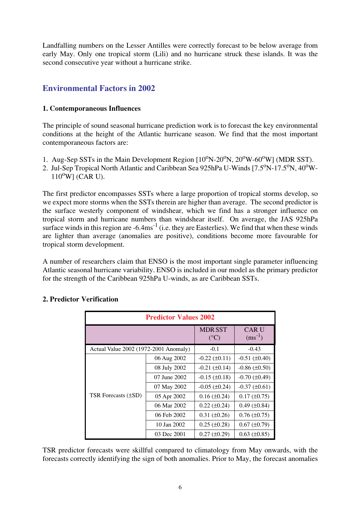Landfalling numbers on the Lesser Antilles were correctly forecast to be below average from early May. Only one tropical storm (Lili) and no hurricane struck these islands. It was the second consecutive year without a hurricane strike.

# **Environmental Factors in 2002**

#### **1. Contemporaneous Influences**

The principle of sound seasonal hurricane prediction work is to forecast the key environmental conditions at the height of the Atlantic hurricane season. We find that the most important contemporaneous factors are:

- 1. Aug-Sep SSTs in the Main Development Region  $[10^{\circ}N-20^{\circ}N, 20^{\circ}W-60^{\circ}W]$  (MDR SST).
- 2. Jul-Sep Tropical North Atlantic and Caribbean Sea 925hPa U-Winds [7.5<sup>o</sup>N-17.5<sup>o</sup>N, 40<sup>o</sup>W- $110^{\circ}$ W] (CAR U).

The first predictor encompasses SSTs where a large proportion of tropical storms develop, so we expect more storms when the SSTs therein are higher than average. The second predictor is the surface westerly component of windshear, which we find has a stronger influence on tropical storm and hurricane numbers than windshear itself. On average, the JAS 925hPa surface winds in this region are  $-6.4 \text{ms}^{-1}$  (i.e. they are Easterlies). We find that when these winds are lighter than average (anomalies are positive), conditions become more favourable for tropical storm development.

A number of researchers claim that ENSO is the most important single parameter influencing Atlantic seasonal hurricane variability. ENSO is included in our model as the primary predictor for the strength of the Caribbean 925hPa U-winds, as are Caribbean SSTs.

| <b>Predictor Values 2002</b>          |              |                                |                            |  |  |  |
|---------------------------------------|--------------|--------------------------------|----------------------------|--|--|--|
|                                       |              | <b>MDRSST</b><br>$(^{\circ}C)$ | <b>CARU</b><br>$(ms^{-1})$ |  |  |  |
| Actual Value 2002 (1972-2001 Anomaly) |              | $-0.1$                         | $-0.43$                    |  |  |  |
|                                       | 06 Aug 2002  | $-0.22 (\pm 0.11)$             | $-0.51$ ( $\pm 0.40$ )     |  |  |  |
|                                       | 08 July 2002 | $-0.21$ ( $\pm 0.14$ )         | $-0.86$ ( $\pm 0.50$ )     |  |  |  |
|                                       | 07 June 2002 | $-0.15 \ (\pm 0.18)$           | $-0.70$ ( $\pm 0.49$ )     |  |  |  |
|                                       | 07 May 2002  | $-0.05$ ( $\pm 0.24$ )         | $-0.37 (\pm 0.61)$         |  |  |  |
| <b>TSR Forecasts (±SD)</b>            | 05 Apr 2002  | $0.16 (\pm 0.24)$              | $0.17 (\pm 0.75)$          |  |  |  |
|                                       | 06 Mar 2002  | $0.22 (\pm 0.24)$              | $0.49 \ (\pm 0.84)$        |  |  |  |
|                                       | 06 Feb 2002  | $0.31 (\pm 0.26)$              | $0.76 (\pm 0.75)$          |  |  |  |
|                                       | 10 Jan 2002  | $0.25 (\pm 0.28)$              | $0.67 (\pm 0.79)$          |  |  |  |
|                                       | 03 Dec 2001  | $0.27 (\pm 0.29)$              | $0.63 \ (\pm 0.85)$        |  |  |  |

#### **2. Predictor Verification**

TSR predictor forecasts were skillful compared to climatology from May onwards, with the forecasts correctly identifying the sign of both anomalies. Prior to May, the forecast anomalies